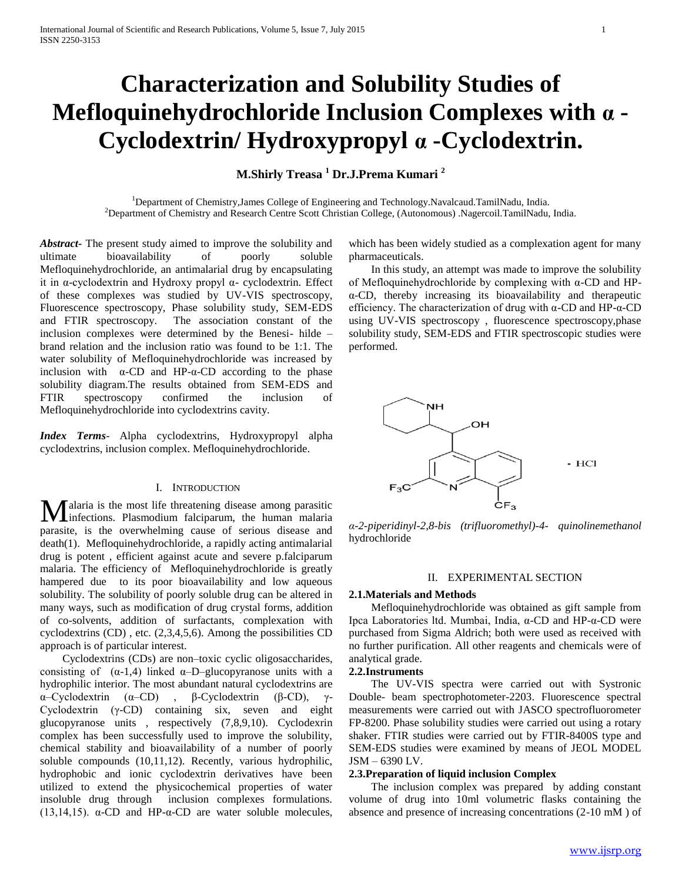# **Characterization and Solubility Studies of Mefloquinehydrochloride Inclusion Complexes with α - Cyclodextrin/ Hydroxypropyl α -Cyclodextrin.**

# **M.Shirly Treasa <sup>1</sup> Dr.J.Prema Kumari <sup>2</sup>**

<sup>1</sup>Department of Chemistry,James College of Engineering and Technology.Navalcaud.TamilNadu, India. <sup>2</sup>Department of Chemistry and Research Centre Scott Christian College, (Autonomous) .Nagercoil.TamilNadu, India.

*Abstract***-** The present study aimed to improve the solubility and ultimate bioavailability of poorly soluble Mefloquinehydrochloride, an antimalarial drug by encapsulating it in α-cyclodextrin and Hydroxy propyl α- cyclodextrin. Effect of these complexes was studied by UV-VIS spectroscopy, Fluorescence spectroscopy, Phase solubility study, SEM-EDS and FTIR spectroscopy. The association constant of the inclusion complexes were determined by the Benesi- hilde – brand relation and the inclusion ratio was found to be 1:1. The water solubility of Mefloquinehydrochloride was increased by inclusion with  $\alpha$ -CD and HP- $\alpha$ -CD according to the phase solubility diagram.The results obtained from SEM-EDS and FTIR spectroscopy confirmed the inclusion of Mefloquinehydrochloride into cyclodextrins cavity.

*Index Terms*- Alpha cyclodextrins, Hydroxypropyl alpha cyclodextrins, inclusion complex. Mefloquinehydrochloride.

#### I. INTRODUCTION

alaria is the most life threatening disease among parasitic **M**alaria is the most life threatening disease among parasitic infections. Plasmodium falciparum, the human malaria parasite, is the overwhelming cause of serious disease and death(1). Mefloquinehydrochloride, a rapidly acting antimalarial drug is potent , efficient against acute and severe p.falciparum malaria. The efficiency of Mefloquinehydrochloride is greatly hampered due to its poor bioavailability and low aqueous solubility. The solubility of poorly soluble drug can be altered in many ways, such as modification of drug crystal forms, addition of co-solvents, addition of surfactants, complexation with cyclodextrins (CD) , etc. (2,3,4,5,6). Among the possibilities CD approach is of particular interest.

 Cyclodextrins (CDs) are non–toxic cyclic oligosaccharides, consisting of  $(\alpha-1,4)$  linked  $\alpha$ -D-glucopyranose units with a hydrophilic interior. The most abundant natural cyclodextrins are α–Cyclodextrin (α–CD) , β-Cyclodextrin (β-CD), γ-Cyclodextrin (γ-CD) containing six, seven and eight glucopyranose units , respectively (7,8,9,10). Cyclodexrin complex has been successfully used to improve the solubility, chemical stability and bioavailability of a number of poorly soluble compounds (10,11,12). Recently, various hydrophilic, hydrophobic and ionic cyclodextrin derivatives have been utilized to extend the physicochemical properties of water insoluble drug through inclusion complexes formulations. (13,14,15).  $\alpha$ -CD and HP- $\alpha$ -CD are water soluble molecules,

which has been widely studied as a complexation agent for many pharmaceuticals.

 In this study, an attempt was made to improve the solubility of Mefloquinehydrochloride by complexing with α-CD and HPα-CD, thereby increasing its bioavailability and therapeutic efficiency. The characterization of drug with α-CD and HP-α-CD using UV-VIS spectroscopy , fluorescence spectroscopy,phase solubility study, SEM-EDS and FTIR spectroscopic studies were performed.



*α-2-piperidinyl-2,8-bis (trifluoromethyl)-4- quinolinemethanol* hydrochloride

# II. EXPERIMENTAL SECTION

# **2.1.Materials and Methods**

 Mefloquinehydrochloride was obtained as gift sample from Ipca Laboratories ltd. Mumbai, India, α-CD and HP-α-CD were purchased from Sigma Aldrich; both were used as received with no further purification. All other reagents and chemicals were of analytical grade.

#### **2.2.Instruments**

 The UV-VIS spectra were carried out with Systronic Double- beam spectrophotometer-2203. Fluorescence spectral measurements were carried out with JASCO spectrofluorometer FP-8200. Phase solubility studies were carried out using a rotary shaker. FTIR studies were carried out by FTIR-8400S type and SEM-EDS studies were examined by means of JEOL MODEL JSM – 6390 LV.

#### **2.3.Preparation of liquid inclusion Complex**

 The inclusion complex was prepared by adding constant volume of drug into 10ml volumetric flasks containing the absence and presence of increasing concentrations (2-10 mM ) of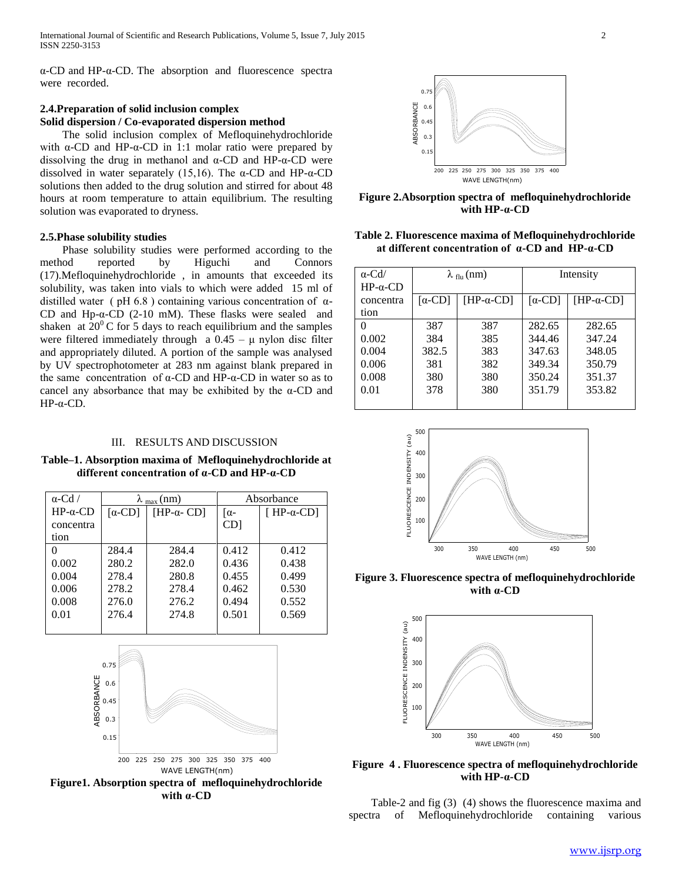α-CD and HP-α-CD. The absorption and fluorescence spectra were recorded.

# **2.4.Preparation of solid inclusion complex Solid dispersion / Co-evaporated dispersion method**

 The solid inclusion complex of Mefloquinehydrochloride with  $\alpha$ -CD and HP- $\alpha$ -CD in 1:1 molar ratio were prepared by dissolving the drug in methanol and  $α$ -CD and HP- $α$ -CD were dissolved in water separately (15,16). The α-CD and HP-α-CD solutions then added to the drug solution and stirred for about 48 hours at room temperature to attain equilibrium. The resulting solution was evaporated to dryness.

#### **2.5.Phase solubility studies**

 Phase solubility studies were performed according to the method reported by Higuchi and Connors (17).Mefloquinehydrochloride , in amounts that exceeded its solubility, was taken into vials to which were added 15 ml of distilled water (  $pH 6.8$  ) containing various concentration of  $\alpha$ -CD and Hp-α-CD  $(2-10)$  mM). These flasks were sealed and shaken at  $20^{\circ}$ C for 5 days to reach equilibrium and the samples were filtered immediately through  $a \ 0.45 - \mu$  nylon disc filter and appropriately diluted. A portion of the sample was analysed by UV spectrophotometer at 283 nm against blank prepared in the same concentration of α-CD and HP-α-CD in water so as to cancel any absorbance that may be exhibited by the  $\alpha$ -CD and HP-α-CD.

# III. RESULTS AND DISCUSSION

**Table–1. Absorption maxima of Mefloquinehydrochloride at different concentration of α-CD and HP-α-CD**

| $\alpha$ -Cd /  | $\lambda_{\text{max}}$ (nm) |                    | Absorbance      |                    |
|-----------------|-----------------------------|--------------------|-----------------|--------------------|
| $HP-\alpha$ -CD | $\lceil \alpha$ -CD         | [ $HP-\alpha$ -CD] | $\alpha$ -      | [ $HP-\alpha$ -CD] |
| concentra       |                             |                    | CD <sub>1</sub> |                    |
| tion            |                             |                    |                 |                    |
|                 | 284.4                       | 284.4              | 0.412           | 0.412              |
| 0.002           | 280.2                       | 282.0              | 0.436           | 0.438              |
| 0.004           | 278.4                       | 280.8              | 0.455           | 0.499              |
| 0.006           | 278.2                       | 278.4              | 0.462           | 0.530              |
| 0.008           | 276.0                       | 276.2              | 0.494           | 0.552              |
| 0.01            | 276.4                       | 274.8              | 0.501           | 0.569              |
|                 |                             |                    |                 |                    |



**Figure1. Absorption spectra of mefloquinehydrochloride with α-CD**



**Figure 2.Absorption spectra of mefloquinehydrochloride with HP-α-CD**

| Table 2. Fluorescence maxima of Mefloquinehydrochloride         |  |
|-----------------------------------------------------------------|--|
| at different concentration of $\alpha$ -CD and HP- $\alpha$ -CD |  |

| $\alpha$ -Cd/   | $\lambda_{\text{flu}}(\text{nm})$ |                    | Intensity           |                    |
|-----------------|-----------------------------------|--------------------|---------------------|--------------------|
| $HP-\alpha$ -CD |                                   |                    |                     |                    |
| concentra       | $\lceil \alpha$ -CD               | [HP- $\alpha$ -CD] | $\lceil \alpha$ -CD | [HP- $\alpha$ -CD] |
| tion            |                                   |                    |                     |                    |
| 0               | 387                               | 387                | 282.65              | 282.65             |
| 0.002           | 384                               | 385                | 344.46              | 347.24             |
| 0.004           | 382.5                             | 383                | 347.63              | 348.05             |
| 0.006           | 381                               | 382                | 349.34              | 350.79             |
| 0.008           | 380                               | 380                | 350.24              | 351.37             |
| 0.01            | 378                               | 380                | 351.79              | 353.82             |
|                 |                                   |                    |                     |                    |



**Figure 3. Fluorescence spectra of mefloquinehydrochloride with α-CD**



200 225 250 275 300 325 350 375 400 **Figure 4 . Fluorescence spectra of mefloquinehydrochloride with HP-α-CD**

 Table-2 and fig (3) (4) shows the fluorescence maxima and spectra of Mefloquinehydrochloride containing various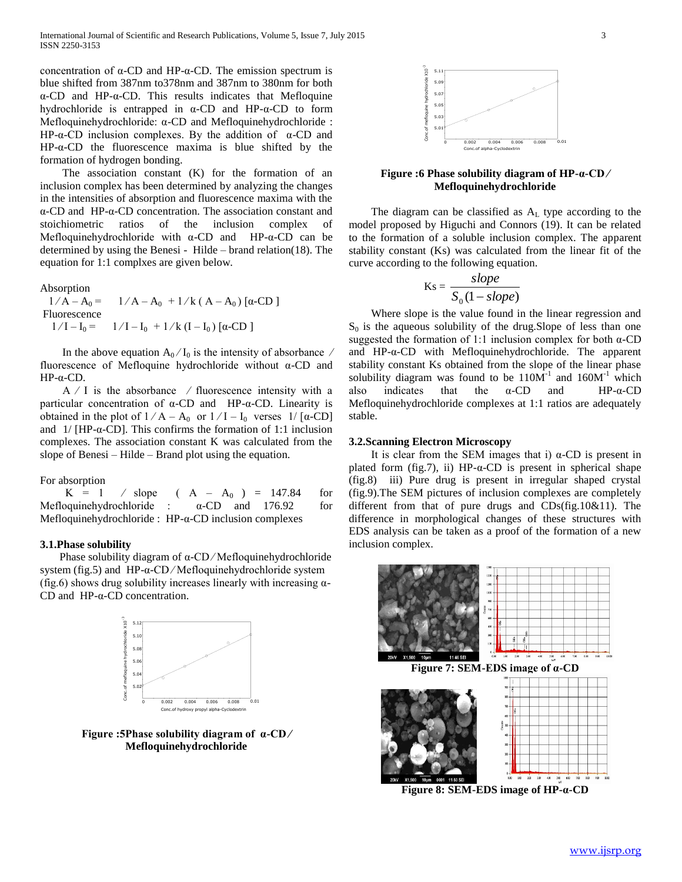concentration of α-CD and HP-α-CD. The emission spectrum is blue shifted from 387nm to378nm and 387nm to 380nm for both α-CD and HP-α-CD. This results indicates that Mefloquine hydrochloride is entrapped in α-CD and HP-α-CD to form Mefloquinehydrochloride: α-CD and Mefloquinehydrochloride : HP-α-CD inclusion complexes. By the addition of  $α$ -CD and HP-α-CD the fluorescence maxima is blue shifted by the formation of hydrogen bonding.

 The association constant (K) for the formation of an inclusion complex has been determined by analyzing the changes in the intensities of absorption and fluorescence maxima with the α-CD and HP-α-CD concentration. The association constant and stoichiometric ratios of the inclusion complex of Mefloquinehydrochloride with α-CD and HP-α-CD can be determined by using the Benesi - Hilde – brand relation(18). The equation for 1:1 complxes are given below.

Absorption

 $1/A - A_0 = 1/A - A_0 + 1/k (A - A_0) [\alpha$ -CD] Fluorescence  $1/I - I_0 = 1/I - I_0 + 1/k (I - I_0) [\alpha$ -CD]

In the above equation  $A_0/I_0$  is the intensity of absorbance / fluorescence of Mefloquine hydrochloride without α-CD and HP-α-CD.

 $A / I$  is the absorbance / fluorescence intensity with a particular concentration of α-CD and HP-α-CD. Linearity is obtained in the plot of  $1/A - A_0$  or  $1/I - I_0$  verses  $1/[\alpha$ -CD] and  $1/$  [HP- $\alpha$ -CD]. This confirms the formation of 1:1 inclusion complexes. The association constant K was calculated from the slope of Benesi – Hilde – Brand plot using the equation.

For absorption

 $K = 1$  / slope (  $A - A_0$  ) = 147.84 for Mefloquinehydrochloride :  $\alpha$ -CD and 176.92 for Mefloquinehydrochloride : HP-α-CD inclusion complexes

#### **3.1.Phase solubility**

Phase solubility diagram of  $\alpha$ -CD/Mefloquinehydrochloride system (fig.5) and HP-α-CD ⁄ Mefloquinehydrochloride system (fig.6) shows drug solubility increases linearly with increasing  $\alpha$ -CD and HP-α-CD concentration.



**Figure :5Phase solubility diagram of α-CD ∕ Mefloquinehydrochloride**



# **Figure :6 Phase solubility diagram of HP-α-CD ∕ Mefloquinehydrochloride**

The diagram can be classified as  $A_L$  type according to the model proposed by Higuchi and Connors (19). It can be related to the formation of a soluble inclusion complex. The apparent stability constant (Ks) was calculated from the linear fit of the curve according to the following equation.

$$
Ks = \frac{slope}{S_0(1 - slope)}
$$

 Where slope is the value found in the linear regression and  $S_0$  is the aqueous solubility of the drug. Slope of less than one suggested the formation of 1:1 inclusion complex for both α-CD and HP-α-CD with Mefloquinehydrochloride. The apparent stability constant Ks obtained from the slope of the linear phase solubility diagram was found to be  $110M^{-1}$  and  $160M^{-1}$  which also indicates that the  $\alpha$ -CD and HP- $\alpha$ -CD Mefloquinehydrochloride complexes at 1:1 ratios are adequately stable.

#### **3.2.Scanning Electron Microscopy**

 It is clear from the SEM images that i) α-CD is present in plated form (fig.7), ii) HP- $\alpha$ -CD is present in spherical shape (fig.8) iii) Pure drug is present in irregular shaped crystal (fig.9).The SEM pictures of inclusion complexes are completely different from that of pure drugs and CDs(fig.10&11). The difference in morphological changes of these structures with EDS analysis can be taken as a proof of the formation of a new inclusion complex.



**Figure 8: SEM-EDS image of HP-α-CD**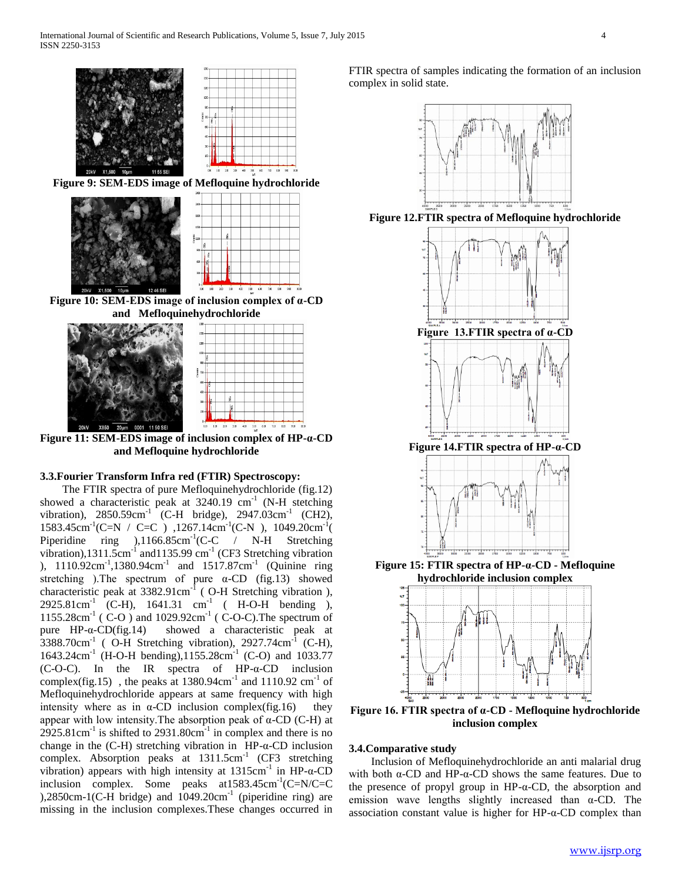



**Figure 11: SEM-EDS image of inclusion complex of HP-α-CD and Mefloquine hydrochloride**

## **3.3.Fourier Transform Infra red (FTIR) Spectroscopy:**

 The FTIR spectra of pure Mefloquinehydrochloride (fig.12) showed a characteristic peak at  $3240.19$  cm<sup>-1</sup> (N-H stetching vibration),  $2850.59 \text{cm}^{-1}$  (C-H bridge),  $2947.03 \text{cm}^{-1}$  (CH2), 1583.45cm<sup>-1</sup>(C=N / C=C ), 1267.14cm<sup>-1</sup>(C-N ), 1049.20cm<sup>-1</sup>( Piperidine ring  $(1166.85cm^{-1}(C-C)$  / N-H Stretching vibration),1311.5cm<sup>-1</sup> and1135.99 cm<sup>-1</sup> (CF3 Stretching vibration ), 1110.92cm<sup>-1</sup>,1380.94cm<sup>-1</sup> and 1517.87cm<sup>-1</sup> (Quinine ring stretching ). The spectrum of pure  $\alpha$ -CD (fig.13) showed characteristic peak at  $3382.91 \text{cm}^{-1}$  (O-H Stretching vibration),  $2925.81 \text{cm}^{-1}$  (C-H),  $1641.31 \text{cm}^{-1}$  (H-O-H bending), 1155.28cm<sup>-1</sup> (C-O) and 1029.92cm<sup>-1</sup> (C-O-C). The spectrum of pure HP-α-CD(fig.14) showed a characteristic peak at  $3388.70$ cm<sup>-1</sup> (O-H Stretching vibration), 2927.74cm<sup>-1</sup> (C-H), 1643.24cm<sup>-1</sup> (H-O-H bending),1155.28cm<sup>-1</sup> (C-O) and 1033.77 (C-O-C). In the IR spectra of HP-α-CD inclusion complex(fig.15), the peaks at  $1380.94 \text{cm}^{-1}$  and  $1110.92 \text{cm}^{-1}$  of Mefloquinehydrochloride appears at same frequency with high intensity where as in  $\alpha$ -CD inclusion complex(fig.16) they appear with low intensity. The absorption peak of  $\alpha$ -CD (C-H) at  $2925.81 \text{cm}^{-1}$  is shifted to  $2931.80 \text{cm}^{-1}$  in complex and there is no change in the (C-H) stretching vibration in HP-α-CD inclusion complex. Absorption peaks at  $1311.5cm^{-1}$  (CF3 stretching vibration) appears with high intensity at  $1315$ cm<sup>-1</sup> in HP-α-CD inclusion complex. Some peaks  $at1583.45cm^{-1}$ (C=N/C=C  $(2850 \text{cm} - 1)$  (C-H bridge) and  $1049.20 \text{cm}^{-1}$  (piperidine ring) are missing in the inclusion complexes.These changes occurred in

FTIR spectra of samples indicating the formation of an inclusion complex in solid state.



**Figure 12.FTIR spectra of Mefloquine hydrochloride**



**Figure 16. FTIR spectra of α-CD - Mefloquine hydrochloride inclusion complex**

# **3.4.Comparative study**

 Inclusion of Mefloquinehydrochloride an anti malarial drug with both α-CD and HP-α-CD shows the same features. Due to the presence of propyl group in HP-α-CD, the absorption and emission wave lengths slightly increased than α-CD. The association constant value is higher for HP-α-CD complex than